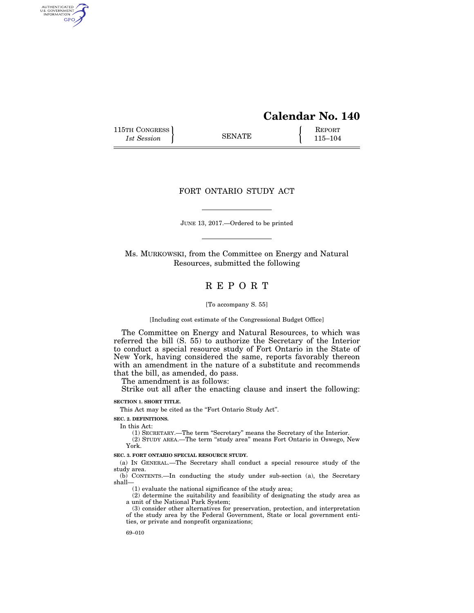# **Calendar No. 140**

115TH CONGRESS REPORT 115-104

AUTHENTICATED<br>U.S. GOVERNMENT<br>INFORMATION GPO

# FORT ONTARIO STUDY ACT

JUNE 13, 2017.—Ordered to be printed

Ms. MURKOWSKI, from the Committee on Energy and Natural Resources, submitted the following

# R E P O R T

[To accompany S. 55]

[Including cost estimate of the Congressional Budget Office]

The Committee on Energy and Natural Resources, to which was referred the bill (S. 55) to authorize the Secretary of the Interior to conduct a special resource study of Fort Ontario in the State of New York, having considered the same, reports favorably thereon with an amendment in the nature of a substitute and recommends that the bill, as amended, do pass.

The amendment is as follows:

Strike out all after the enacting clause and insert the following:

**SECTION 1. SHORT TITLE.** 

This Act may be cited as the "Fort Ontario Study Act".

**SEC. 2. DEFINITIONS.** 

In this Act:

(1) SECRETARY.—The term ''Secretary'' means the Secretary of the Interior.

(2) STUDY AREA.—The term ''study area'' means Fort Ontario in Oswego, New York.

**SEC. 3. FORT ONTARIO SPECIAL RESOURCE STUDY.** 

(a) IN GENERAL.—The Secretary shall conduct a special resource study of the study area.

(b) CONTENTS.—In conducting the study under sub-section (a), the Secretary shall—

(1) evaluate the national significance of the study area;

(2) determine the suitability and feasibility of designating the study area as a unit of the National Park System;

(3) consider other alternatives for preservation, protection, and interpretation of the study area by the Federal Government, State or local government entities, or private and nonprofit organizations;

69–010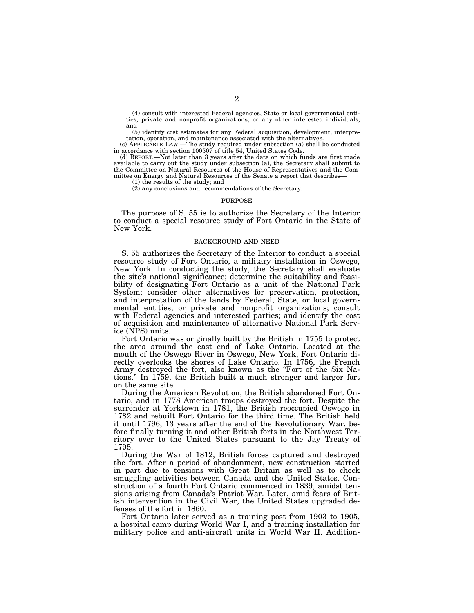(4) consult with interested Federal agencies, State or local governmental entities, private and nonprofit organizations, or any other interested individuals; and

(5) identify cost estimates for any Federal acquisition, development, interpretation, operation, and maintenance associated with the alternatives.

(c) APPLICABLE LAW.—The study required under subsection (a) shall be conducted in accordance with section 100507 of title 54, United States Code.

(d) REPORT.—Not later than 3 years after the date on which funds are first made available to carry out the study under subsection (a), the Secretary shall submit to the Committee on Natural Resources of the House of Representatives and the Committee on Energy and Natural Resources of the Senate a report that describes—

(1) the results of the study; and

(2) any conclusions and recommendations of the Secretary.

### PURPOSE

The purpose of S. 55 is to authorize the Secretary of the Interior to conduct a special resource study of Fort Ontario in the State of New York.

## BACKGROUND AND NEED

S. 55 authorizes the Secretary of the Interior to conduct a special resource study of Fort Ontario, a military installation in Oswego, New York. In conducting the study, the Secretary shall evaluate the site's national significance; determine the suitability and feasibility of designating Fort Ontario as a unit of the National Park System; consider other alternatives for preservation, protection, and interpretation of the lands by Federal, State, or local governmental entities, or private and nonprofit organizations; consult with Federal agencies and interested parties; and identify the cost of acquisition and maintenance of alternative National Park Service (NPS) units.

Fort Ontario was originally built by the British in 1755 to protect the area around the east end of Lake Ontario. Located at the mouth of the Oswego River in Oswego, New York, Fort Ontario directly overlooks the shores of Lake Ontario. In 1756, the French Army destroyed the fort, also known as the ''Fort of the Six Nations.'' In 1759, the British built a much stronger and larger fort on the same site.

During the American Revolution, the British abandoned Fort Ontario, and in 1778 American troops destroyed the fort. Despite the surrender at Yorktown in 1781, the British reoccupied Oswego in 1782 and rebuilt Fort Ontario for the third time. The British held it until 1796, 13 years after the end of the Revolutionary War, before finally turning it and other British forts in the Northwest Territory over to the United States pursuant to the Jay Treaty of 1795.

During the War of 1812, British forces captured and destroyed the fort. After a period of abandonment, new construction started in part due to tensions with Great Britain as well as to check smuggling activities between Canada and the United States. Construction of a fourth Fort Ontario commenced in 1839, amidst tensions arising from Canada's Patriot War. Later, amid fears of British intervention in the Civil War, the United States upgraded defenses of the fort in 1860.

Fort Ontario later served as a training post from 1903 to 1905, a hospital camp during World War I, and a training installation for military police and anti-aircraft units in World War II. Addition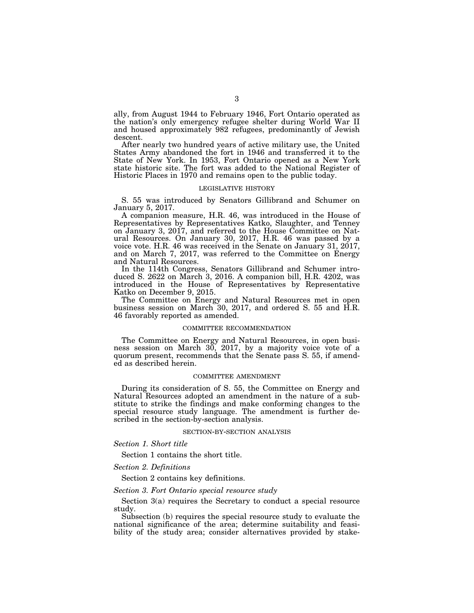ally, from August 1944 to February 1946, Fort Ontario operated as the nation's only emergency refugee shelter during World War II and housed approximately 982 refugees, predominantly of Jewish descent.

After nearly two hundred years of active military use, the United States Army abandoned the fort in 1946 and transferred it to the State of New York. In 1953, Fort Ontario opened as a New York state historic site. The fort was added to the National Register of Historic Places in 1970 and remains open to the public today.

## LEGISLATIVE HISTORY

S. 55 was introduced by Senators Gillibrand and Schumer on January 5, 2017.

A companion measure, H.R. 46, was introduced in the House of Representatives by Representatives Katko, Slaughter, and Tenney on January 3, 2017, and referred to the House Committee on Natural Resources. On January 30, 2017, H.R. 46 was passed by a voice vote. H.R. 46 was received in the Senate on January 31, 2017, and on March 7, 2017, was referred to the Committee on Energy and Natural Resources.

In the 114th Congress, Senators Gillibrand and Schumer introduced S. 2622 on March 3, 2016. A companion bill, H.R. 4202, was introduced in the House of Representatives by Representative Katko on December 9, 2015.

The Committee on Energy and Natural Resources met in open business session on March 30, 2017, and ordered S. 55 and H.R. 46 favorably reported as amended.

## COMMITTEE RECOMMENDATION

The Committee on Energy and Natural Resources, in open business session on March 30, 2017, by a majority voice vote of a quorum present, recommends that the Senate pass S. 55, if amended as described herein.

#### COMMITTEE AMENDMENT

During its consideration of S. 55, the Committee on Energy and Natural Resources adopted an amendment in the nature of a substitute to strike the findings and make conforming changes to the special resource study language. The amendment is further described in the section-by-section analysis.

#### SECTION-BY-SECTION ANALYSIS

*Section 1. Short title* 

Section 1 contains the short title.

## *Section 2. Definitions*

Section 2 contains key definitions.

## *Section 3. Fort Ontario special resource study*

Section 3(a) requires the Secretary to conduct a special resource study.

Subsection (b) requires the special resource study to evaluate the national significance of the area; determine suitability and feasibility of the study area; consider alternatives provided by stake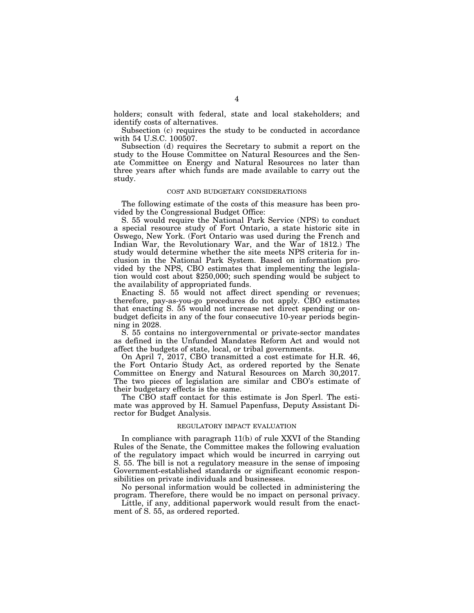holders; consult with federal, state and local stakeholders; and identify costs of alternatives.

Subsection (c) requires the study to be conducted in accordance with 54 U.S.C. 100507.

Subsection (d) requires the Secretary to submit a report on the study to the House Committee on Natural Resources and the Senate Committee on Energy and Natural Resources no later than three years after which funds are made available to carry out the study.

#### COST AND BUDGETARY CONSIDERATIONS

The following estimate of the costs of this measure has been provided by the Congressional Budget Office:

S. 55 would require the National Park Service (NPS) to conduct a special resource study of Fort Ontario, a state historic site in Oswego, New York. (Fort Ontario was used during the French and Indian War, the Revolutionary War, and the War of 1812.) The study would determine whether the site meets NPS criteria for inclusion in the National Park System. Based on information provided by the NPS, CBO estimates that implementing the legislation would cost about \$250,000; such spending would be subject to the availability of appropriated funds.

Enacting S. 55 would not affect direct spending or revenues; therefore, pay-as-you-go procedures do not apply. CBO estimates that enacting S. 55 would not increase net direct spending or onbudget deficits in any of the four consecutive 10-year periods beginning in 2028.

S. 55 contains no intergovernmental or private-sector mandates as defined in the Unfunded Mandates Reform Act and would not affect the budgets of state, local, or tribal governments.

On April 7, 2017, CBO transmitted a cost estimate for H.R. 46, the Fort Ontario Study Act, as ordered reported by the Senate Committee on Energy and Natural Resources on March 30,2017. The two pieces of legislation are similar and CBO's estimate of their budgetary effects is the same.

The CBO staff contact for this estimate is Jon Sperl. The estimate was approved by H. Samuel Papenfuss, Deputy Assistant Director for Budget Analysis.

#### REGULATORY IMPACT EVALUATION

In compliance with paragraph 11(b) of rule XXVI of the Standing Rules of the Senate, the Committee makes the following evaluation of the regulatory impact which would be incurred in carrying out S. 55. The bill is not a regulatory measure in the sense of imposing Government-established standards or significant economic responsibilities on private individuals and businesses.

No personal information would be collected in administering the program. Therefore, there would be no impact on personal privacy.

Little, if any, additional paperwork would result from the enactment of S. 55, as ordered reported.